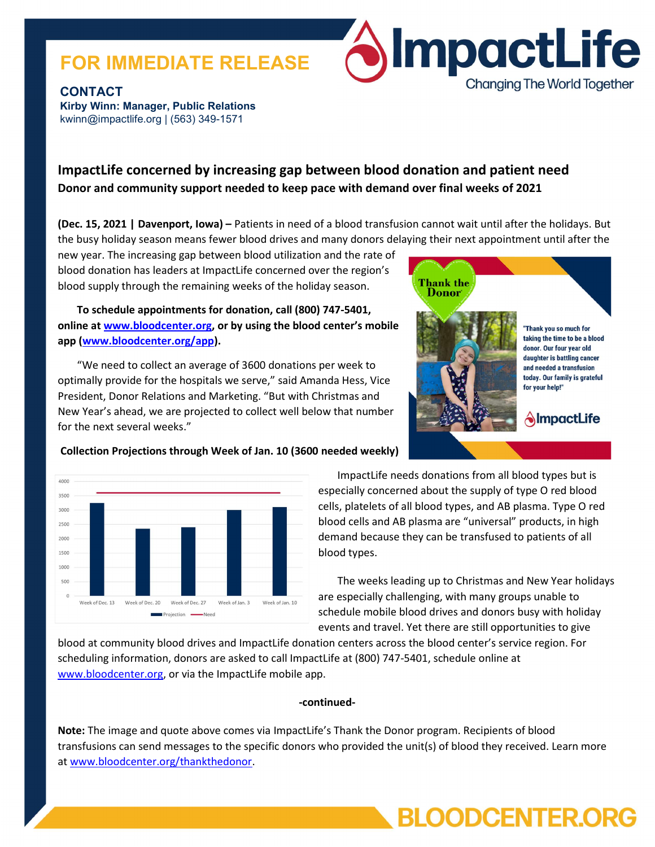# FOR IMMEDIATE RELEASE



**CONTACT** Kirby Winn: Manager, Public Relations kwinn@impactlife.org | (563) 349-1571

# ImpactLife concerned by increasing gap between blood donation and patient need Donor and community support needed to keep pace with demand over final weeks of 2021

(Dec. 15, 2021 | Davenport, Iowa) – Patients in need of a blood transfusion cannot wait until after the holidays. But the busy holiday season means fewer blood drives and many donors delaying their next appointment until after the

new year. The increasing gap between blood utilization and the rate of blood donation has leaders at ImpactLife concerned over the region's blood supply through the remaining weeks of the holiday season.

To schedule appointments for donation, call (800) 747-5401, online at www.bloodcenter.org, or by using the blood center's mobile app (www.bloodcenter.org/app).

 "We need to collect an average of 3600 donations per week to optimally provide for the hospitals we serve," said Amanda Hess, Vice President, Donor Relations and Marketing. "But with Christmas and New Year's ahead, we are projected to collect well below that number for the next several weeks."





### Collection Projections through Week of Jan. 10 (3600 needed weekly)

ImpactLife needs donations from all blood types but is especially concerned about the supply of type O red blood cells, platelets of all blood types, and AB plasma. Type O red blood cells and AB plasma are "universal" products, in high demand because they can be transfused to patients of all blood types.

The weeks leading up to Christmas and New Year holidays are especially challenging, with many groups unable to schedule mobile blood drives and donors busy with holiday events and travel. Yet there are still opportunities to give

**BLOODCENTER.ORG** 

blood at community blood drives and ImpactLife donation centers across the blood center's service region. For scheduling information, donors are asked to call ImpactLife at (800) 747-5401, schedule online at www.bloodcenter.org, or via the ImpactLife mobile app.

#### -continued-

Note: The image and quote above comes via ImpactLife's Thank the Donor program. Recipients of blood transfusions can send messages to the specific donors who provided the unit(s) of blood they received. Learn more at www.bloodcenter.org/thankthedonor.